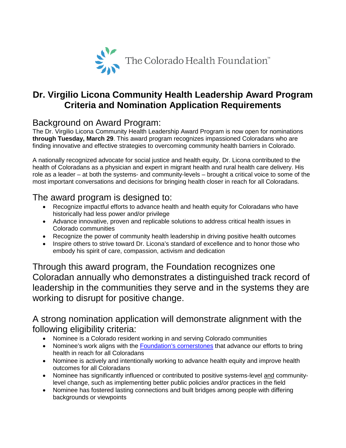

## **Dr. Virgilio Licona Community Health Leadership Award Program Criteria and Nomination Application Requirements**

#### Background on Award Program:

The Dr. Virgilio Licona Community Health Leadership Award Program is now open for nominations **through Tuesday, March 29**. This award program recognizes impassioned Coloradans who are finding innovative and effective strategies to overcoming community health barriers in Colorado.

A nationally recognized advocate for social justice and health equity, Dr. Licona contributed to the health of Coloradans as a physician and expert in migrant health and rural health care delivery. His role as a leader – at both the systems- and community-levels – brought a critical voice to some of the most important conversations and decisions for bringing health closer in reach for all Coloradans.

#### The award program is designed to:

- Recognize impactful efforts to advance health and health equity for Coloradans who have historically had less power and/or privilege
- Advance innovative, proven and replicable solutions to address critical health issues in Colorado communities
- Recognize the power of community health leadership in driving positive health outcomes
- Inspire others to strive toward Dr. Licona's standard of excellence and to honor those who embody his spirit of care, compassion, activism and dedication

Through this award program, the Foundation recognizes one Coloradan annually who demonstrates a distinguished track record of leadership in the communities they serve and in the systems they are working to disrupt for positive change.

#### A strong nomination application will demonstrate alignment with the following eligibility criteria:

- Nominee is a Colorado resident working in and serving Colorado communities
- Nominee's work aligns with the [Foundation's cornerstones](https://coloradohealth.org/how-we-work/how-we-are-working-achieve-health-equity) that advance our efforts to bring health in reach for all Coloradans
- Nominee is actively and intentionally working to advance health equity and improve health outcomes for all Coloradans
- Nominee has significantly influenced or contributed to positive systems-level and communitylevel change, such as implementing better public policies and/or practices in the field
- Nominee has fostered lasting connections and built bridges among people with differing backgrounds or viewpoints